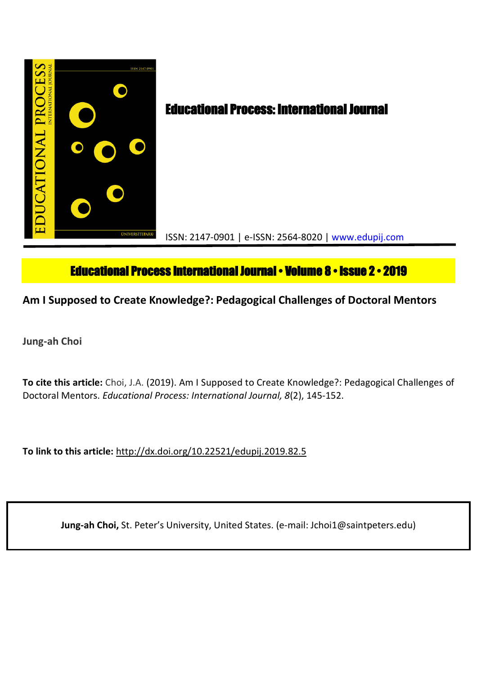

# **Educational Process International Journal • Volume 8 • Issue 2 • 2019**

## **Am I Supposed to Create Knowledge?: Pedagogical Challenges of Doctoral Mentors**

**Jung-ah Choi**

**To cite this article:** Choi, J.A. (2019). Am I Supposed to Create Knowledge?: Pedagogical Challenges of Doctoral Mentors. *Educational Process: International Journal, 8*(2), 145-152.

**To link to this article:** http://dx.doi.org/10.22521/edupij.2019.82.5

**Jung-ah Choi,** St. Peter's University, United States. (e-mail: Jchoi1@saintpeters.edu)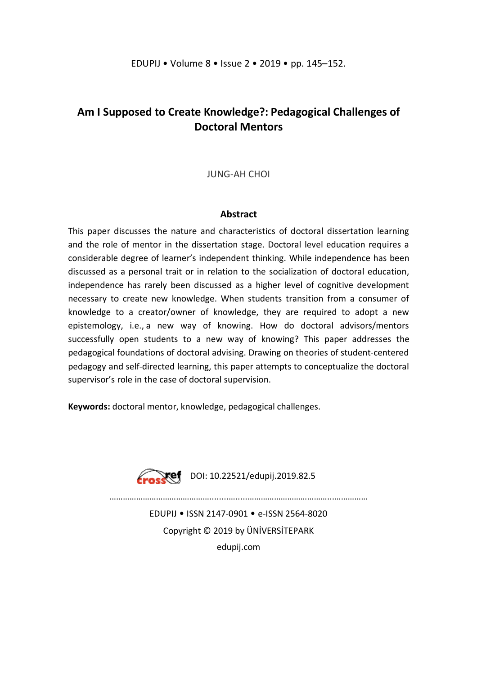## **Am I Supposed to Create Knowledge?: Pedagogical Challenges of Doctoral Mentors**

## JUNG-AH CHOI

### **Abstract**

This paper discusses the nature and characteristics of doctoral dissertation learning and the role of mentor in the dissertation stage. Doctoral level education requires a considerable degree of learner's independent thinking. While independence has been discussed as a personal trait or in relation to the socialization of doctoral education, independence has rarely been discussed as a higher level of cognitive development necessary to create new knowledge. When students transition from a consumer of knowledge to a creator/owner of knowledge, they are required to adopt a new epistemology, i.e., a new way of knowing. How do doctoral advisors/mentors successfully open students to a new way of knowing? This paper addresses the pedagogical foundations of doctoral advising. Drawing on theories of student-centered pedagogy and self-directed learning, this paper attempts to conceptualize the doctoral supervisor's role in the case of doctoral supervision.

**Keywords:** doctoral mentor, knowledge, pedagogical challenges.



………………………………………........….....………………………………...……………

EDUPIJ • ISSN 2147-0901 • e-ISSN 2564-8020 Copyright © 2019 by ÜNİVERSİTEPARK edupij.com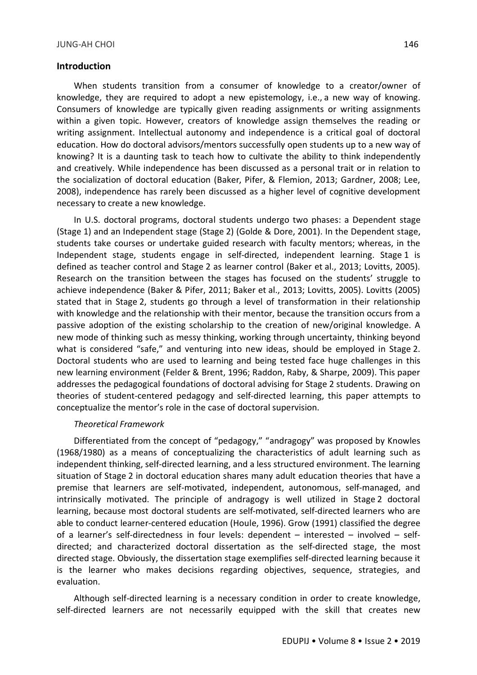#### **Introduction**

When students transition from a consumer of knowledge to a creator/owner of knowledge, they are required to adopt a new epistemology, i.e., a new way of knowing. Consumers of knowledge are typically given reading assignments or writing assignments within a given topic. However, creators of knowledge assign themselves the reading or writing assignment. Intellectual autonomy and independence is a critical goal of doctoral education. How do doctoral advisors/mentors successfully open students up to a new way of knowing? It is a daunting task to teach how to cultivate the ability to think independently and creatively. While independence has been discussed as a personal trait or in relation to the socialization of doctoral education (Baker, Pifer, & Flemion, 2013; Gardner, 2008; Lee, 2008), independence has rarely been discussed as a higher level of cognitive development necessary to create a new knowledge.

In U.S. doctoral programs, doctoral students undergo two phases: a Dependent stage (Stage 1) and an Independent stage (Stage 2) (Golde & Dore, 2001). In the Dependent stage, students take courses or undertake guided research with faculty mentors; whereas, in the Independent stage, students engage in self-directed, independent learning. Stage 1 is defined as teacher control and Stage 2 as learner control (Baker et al., 2013; Lovitts, 2005). Research on the transition between the stages has focused on the students' struggle to achieve independence (Baker & Pifer, 2011; Baker et al., 2013; Lovitts, 2005). Lovitts (2005) stated that in Stage 2, students go through a level of transformation in their relationship with knowledge and the relationship with their mentor, because the transition occurs from a passive adoption of the existing scholarship to the creation of new/original knowledge. A new mode of thinking such as messy thinking, working through uncertainty, thinking beyond what is considered "safe," and venturing into new ideas, should be employed in Stage 2. Doctoral students who are used to learning and being tested face huge challenges in this new learning environment (Felder & Brent, 1996; Raddon, Raby, & Sharpe, 2009). This paper addresses the pedagogical foundations of doctoral advising for Stage 2 students. Drawing on theories of student-centered pedagogy and self-directed learning, this paper attempts to conceptualize the mentor's role in the case of doctoral supervision.

#### *Theoretical Framework*

Differentiated from the concept of "pedagogy," "andragogy" was proposed by Knowles (1968/1980) as a means of conceptualizing the characteristics of adult learning such as independent thinking, self-directed learning, and a less structured environment. The learning situation of Stage 2 in doctoral education shares many adult education theories that have a premise that learners are self-motivated, independent, autonomous, self-managed, and intrinsically motivated. The principle of andragogy is well utilized in Stage 2 doctoral learning, because most doctoral students are self-motivated, self-directed learners who are able to conduct learner-centered education (Houle, 1996). Grow (1991) classified the degree of a learner's self-directedness in four levels: dependent – interested – involved – selfdirected; and characterized doctoral dissertation as the self-directed stage, the most directed stage. Obviously, the dissertation stage exemplifies self-directed learning because it is the learner who makes decisions regarding objectives, sequence, strategies, and evaluation.

Although self-directed learning is a necessary condition in order to create knowledge, self-directed learners are not necessarily equipped with the skill that creates new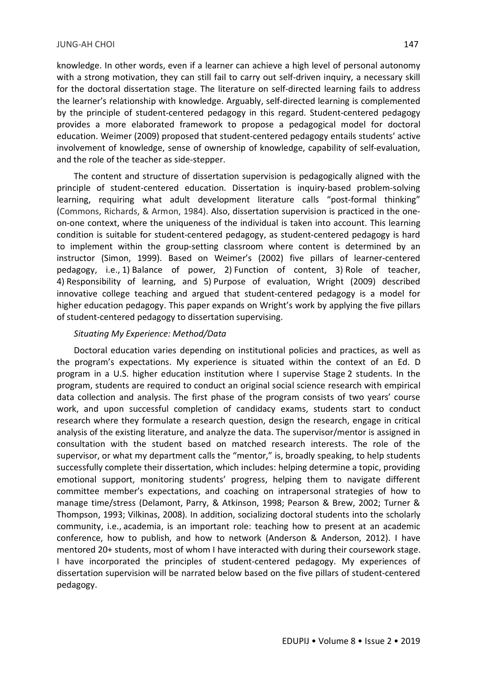#### JUNG-AH CHOI 147

knowledge. In other words, even if a learner can achieve a high level of personal autonomy with a strong motivation, they can still fail to carry out self-driven inquiry, a necessary skill for the doctoral dissertation stage. The literature on self-directed learning fails to address the learner's relationship with knowledge. Arguably, self-directed learning is complemented by the principle of student-centered pedagogy in this regard. Student-centered pedagogy provides a more elaborated framework to propose a pedagogical model for doctoral education. Weimer (2009) proposed that student-centered pedagogy entails students' active involvement of knowledge, sense of ownership of knowledge, capability of self-evaluation, and the role of the teacher as side-stepper.

The content and structure of dissertation supervision is pedagogically aligned with the principle of student-centered education. Dissertation is inquiry-based problem-solving learning, requiring what adult development literature calls "post-formal thinking" (Commons, Richards, & Armon, 1984). Also, dissertation supervision is practiced in the oneon-one context, where the uniqueness of the individual is taken into account. This learning condition is suitable for student-centered pedagogy, as student-centered pedagogy is hard to implement within the group-setting classroom where content is determined by an instructor (Simon, 1999). Based on Weimer's (2002) five pillars of learner-centered pedagogy, i.e., 1) Balance of power, 2) Function of content, 3) Role of teacher, 4) Responsibility of learning, and 5) Purpose of evaluation, Wright (2009) described innovative college teaching and argued that student-centered pedagogy is a model for higher education pedagogy. This paper expands on Wright's work by applying the five pillars of student-centered pedagogy to dissertation supervising.

### *Situating My Experience: Method/Data*

Doctoral education varies depending on institutional policies and practices, as well as the program's expectations. My experience is situated within the context of an Ed. D program in a U.S. higher education institution where I supervise Stage 2 students. In the program, students are required to conduct an original social science research with empirical data collection and analysis. The first phase of the program consists of two years' course work, and upon successful completion of candidacy exams, students start to conduct research where they formulate a research question, design the research, engage in critical analysis of the existing literature, and analyze the data. The supervisor/mentor is assigned in consultation with the student based on matched research interests. The role of the supervisor, or what my department calls the "mentor," is, broadly speaking, to help students successfully complete their dissertation, which includes: helping determine a topic, providing emotional support, monitoring students' progress, helping them to navigate different committee member's expectations, and coaching on intrapersonal strategies of how to manage time/stress (Delamont, Parry, & Atkinson, 1998; Pearson & Brew, 2002; Turner & Thompson, 1993; Vilkinas, 2008). In addition, socializing doctoral students into the scholarly community, i.e., academia, is an important role: teaching how to present at an academic conference, how to publish, and how to network (Anderson & Anderson, 2012). I have mentored 20+ students, most of whom I have interacted with during their coursework stage. I have incorporated the principles of student-centered pedagogy. My experiences of dissertation supervision will be narrated below based on the five pillars of student-centered pedagogy.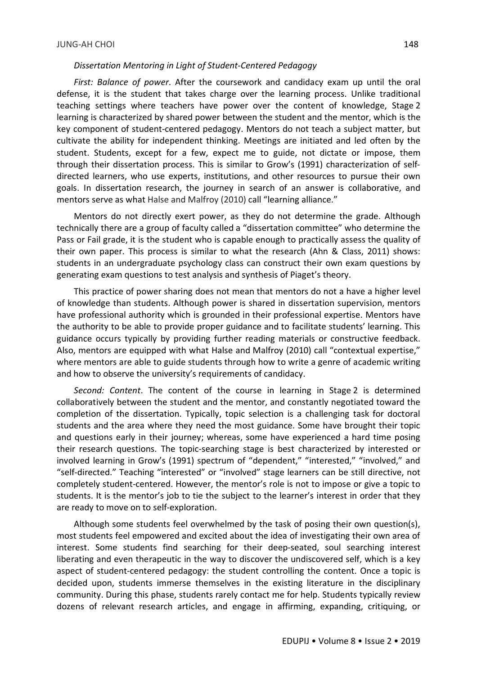#### *Dissertation Mentoring in Light of Student-Centered Pedagogy*

*First: Balance of power*. After the coursework and candidacy exam up until the oral defense, it is the student that takes charge over the learning process. Unlike traditional teaching settings where teachers have power over the content of knowledge, Stage 2 learning is characterized by shared power between the student and the mentor, which is the key component of student-centered pedagogy. Mentors do not teach a subject matter, but cultivate the ability for independent thinking. Meetings are initiated and led often by the student. Students, except for a few, expect me to guide, not dictate or impose, them through their dissertation process. This is similar to Grow's (1991) characterization of selfdirected learners, who use experts, institutions, and other resources to pursue their own goals. In dissertation research, the journey in search of an answer is collaborative, and mentors serve as what Halse and Malfroy (2010) call "learning alliance."

Mentors do not directly exert power, as they do not determine the grade. Although technically there are a group of faculty called a "dissertation committee" who determine the Pass or Fail grade, it is the student who is capable enough to practically assess the quality of their own paper. This process is similar to what the research (Ahn & Class, 2011) shows: students in an undergraduate psychology class can construct their own exam questions by generating exam questions to test analysis and synthesis of Piaget's theory.

This practice of power sharing does not mean that mentors do not a have a higher level of knowledge than students. Although power is shared in dissertation supervision, mentors have professional authority which is grounded in their professional expertise. Mentors have the authority to be able to provide proper guidance and to facilitate students' learning. This guidance occurs typically by providing further reading materials or constructive feedback. Also, mentors are equipped with what Halse and Malfroy (2010) call "contextual expertise," where mentors are able to guide students through how to write a genre of academic writing and how to observe the university's requirements of candidacy.

*Second: Content*. The content of the course in learning in Stage 2 is determined collaboratively between the student and the mentor, and constantly negotiated toward the completion of the dissertation. Typically, topic selection is a challenging task for doctoral students and the area where they need the most guidance. Some have brought their topic and questions early in their journey; whereas, some have experienced a hard time posing their research questions. The topic-searching stage is best characterized by interested or involved learning in Grow's (1991) spectrum of "dependent," "interested," "involved," and "self-directed." Teaching "interested" or "involved" stage learners can be still directive, not completely student-centered. However, the mentor's role is not to impose or give a topic to students. It is the mentor's job to tie the subject to the learner's interest in order that they are ready to move on to self-exploration.

Although some students feel overwhelmed by the task of posing their own question(s), most students feel empowered and excited about the idea of investigating their own area of interest. Some students find searching for their deep-seated, soul searching interest liberating and even therapeutic in the way to discover the undiscovered self, which is a key aspect of student-centered pedagogy: the student controlling the content. Once a topic is decided upon, students immerse themselves in the existing literature in the disciplinary community. During this phase, students rarely contact me for help. Students typically review dozens of relevant research articles, and engage in affirming, expanding, critiquing, or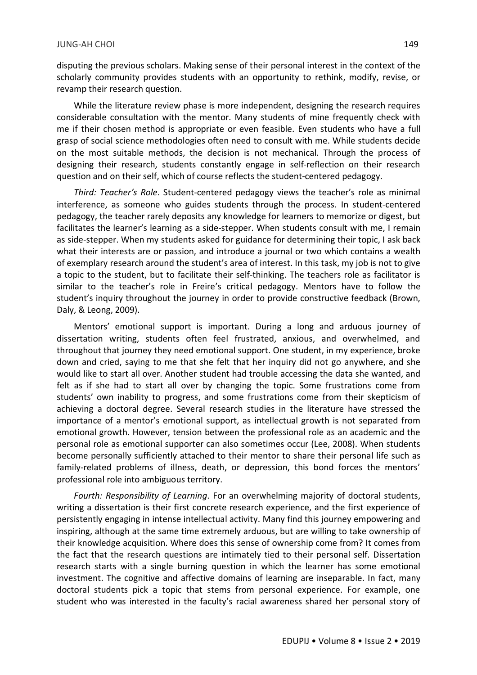disputing the previous scholars. Making sense of their personal interest in the context of the scholarly community provides students with an opportunity to rethink, modify, revise, or revamp their research question.

While the literature review phase is more independent, designing the research requires considerable consultation with the mentor. Many students of mine frequently check with me if their chosen method is appropriate or even feasible. Even students who have a full grasp of social science methodologies often need to consult with me. While students decide on the most suitable methods, the decision is not mechanical. Through the process of designing their research, students constantly engage in self-reflection on their research question and on their self, which of course reflects the student-centered pedagogy.

*Third: Teacher's Role*. Student-centered pedagogy views the teacher's role as minimal interference, as someone who guides students through the process. In student-centered pedagogy, the teacher rarely deposits any knowledge for learners to memorize or digest, but facilitates the learner's learning as a side-stepper. When students consult with me, I remain as side-stepper. When my students asked for guidance for determining their topic, I ask back what their interests are or passion, and introduce a journal or two which contains a wealth of exemplary research around the student's area of interest. In this task, my job is not to give a topic to the student, but to facilitate their self-thinking. The teachers role as facilitator is similar to the teacher's role in Freire's critical pedagogy. Mentors have to follow the student's inquiry throughout the journey in order to provide constructive feedback (Brown, Daly, & Leong, 2009).

Mentors' emotional support is important. During a long and arduous journey of dissertation writing, students often feel frustrated, anxious, and overwhelmed, and throughout that journey they need emotional support. One student, in my experience, broke down and cried, saying to me that she felt that her inquiry did not go anywhere, and she would like to start all over. Another student had trouble accessing the data she wanted, and felt as if she had to start all over by changing the topic. Some frustrations come from students' own inability to progress, and some frustrations come from their skepticism of achieving a doctoral degree. Several research studies in the literature have stressed the importance of a mentor's emotional support, as intellectual growth is not separated from emotional growth. However, tension between the professional role as an academic and the personal role as emotional supporter can also sometimes occur (Lee, 2008). When students become personally sufficiently attached to their mentor to share their personal life such as family-related problems of illness, death, or depression, this bond forces the mentors' professional role into ambiguous territory.

*Fourth: Responsibility of Learning*. For an overwhelming majority of doctoral students, writing a dissertation is their first concrete research experience, and the first experience of persistently engaging in intense intellectual activity. Many find this journey empowering and inspiring, although at the same time extremely arduous, but are willing to take ownership of their knowledge acquisition. Where does this sense of ownership come from? It comes from the fact that the research questions are intimately tied to their personal self. Dissertation research starts with a single burning question in which the learner has some emotional investment. The cognitive and affective domains of learning are inseparable. In fact, many doctoral students pick a topic that stems from personal experience. For example, one student who was interested in the faculty's racial awareness shared her personal story of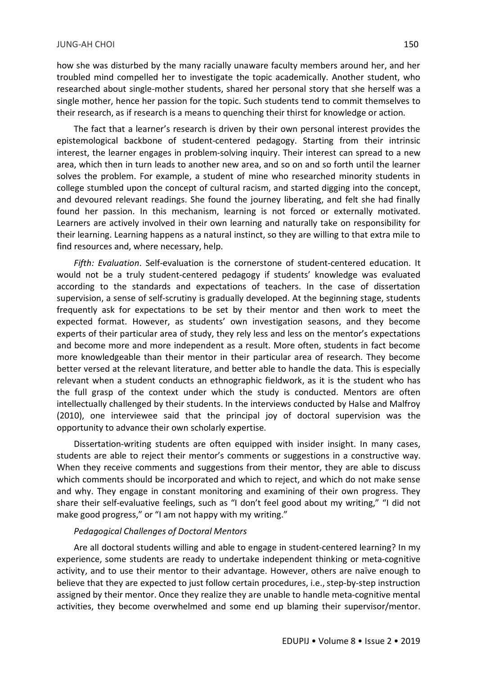how she was disturbed by the many racially unaware faculty members around her, and her troubled mind compelled her to investigate the topic academically. Another student, who researched about single-mother students, shared her personal story that she herself was a single mother, hence her passion for the topic. Such students tend to commit themselves to their research, as if research is a means to quenching their thirst for knowledge or action.

The fact that a learner's research is driven by their own personal interest provides the epistemological backbone of student-centered pedagogy. Starting from their intrinsic interest, the learner engages in problem-solving inquiry. Their interest can spread to a new area, which then in turn leads to another new area, and so on and so forth until the learner solves the problem. For example, a student of mine who researched minority students in college stumbled upon the concept of cultural racism, and started digging into the concept, and devoured relevant readings. She found the journey liberating, and felt she had finally found her passion. In this mechanism, learning is not forced or externally motivated. Learners are actively involved in their own learning and naturally take on responsibility for their learning. Learning happens as a natural instinct, so they are willing to that extra mile to find resources and, where necessary, help.

*Fifth: Evaluation*. Self-evaluation is the cornerstone of student-centered education. It would not be a truly student-centered pedagogy if students' knowledge was evaluated according to the standards and expectations of teachers. In the case of dissertation supervision, a sense of self-scrutiny is gradually developed. At the beginning stage, students frequently ask for expectations to be set by their mentor and then work to meet the expected format. However, as students' own investigation seasons, and they become experts of their particular area of study, they rely less and less on the mentor's expectations and become more and more independent as a result. More often, students in fact become more knowledgeable than their mentor in their particular area of research. They become better versed at the relevant literature, and better able to handle the data. This is especially relevant when a student conducts an ethnographic fieldwork, as it is the student who has the full grasp of the context under which the study is conducted. Mentors are often intellectually challenged by their students. In the interviews conducted by Halse and Malfroy (2010), one interviewee said that the principal joy of doctoral supervision was the opportunity to advance their own scholarly expertise.

Dissertation-writing students are often equipped with insider insight. In many cases, students are able to reject their mentor's comments or suggestions in a constructive way. When they receive comments and suggestions from their mentor, they are able to discuss which comments should be incorporated and which to reject, and which do not make sense and why. They engage in constant monitoring and examining of their own progress. They share their self-evaluative feelings, such as "I don't feel good about my writing," "I did not make good progress," or "I am not happy with my writing."

#### *Pedagogical Challenges of Doctoral Mentors*

Are all doctoral students willing and able to engage in student-centered learning? In my experience, some students are ready to undertake independent thinking or meta-cognitive activity, and to use their mentor to their advantage. However, others are naïve enough to believe that they are expected to just follow certain procedures, i.e., step-by-step instruction assigned by their mentor. Once they realize they are unable to handle meta-cognitive mental activities, they become overwhelmed and some end up blaming their supervisor/mentor.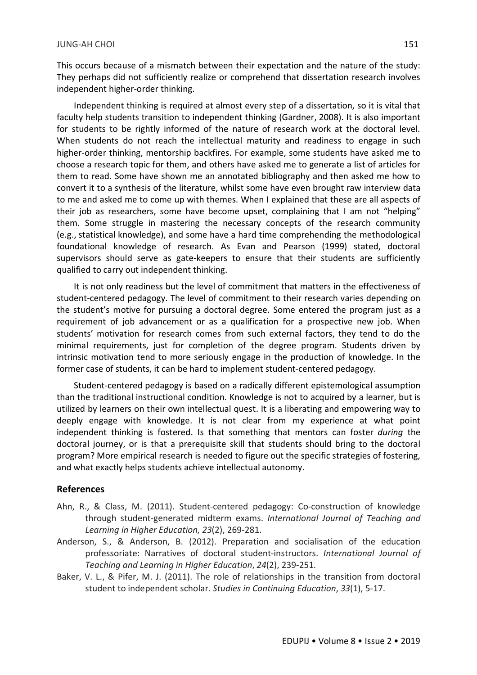This occurs because of a mismatch between their expectation and the nature of the study: They perhaps did not sufficiently realize or comprehend that dissertation research involves independent higher-order thinking.

Independent thinking is required at almost every step of a dissertation, so it is vital that faculty help students transition to independent thinking (Gardner, 2008). It is also important for students to be rightly informed of the nature of research work at the doctoral level. When students do not reach the intellectual maturity and readiness to engage in such higher-order thinking, mentorship backfires. For example, some students have asked me to choose a research topic for them, and others have asked me to generate a list of articles for them to read. Some have shown me an annotated bibliography and then asked me how to convert it to a synthesis of the literature, whilst some have even brought raw interview data to me and asked me to come up with themes. When I explained that these are all aspects of their job as researchers, some have become upset, complaining that I am not "helping" them. Some struggle in mastering the necessary concepts of the research community (e.g., statistical knowledge), and some have a hard time comprehending the methodological foundational knowledge of research. As Evan and Pearson (1999) stated, doctoral supervisors should serve as gate-keepers to ensure that their students are sufficiently qualified to carry out independent thinking.

It is not only readiness but the level of commitment that matters in the effectiveness of student-centered pedagogy. The level of commitment to their research varies depending on the student's motive for pursuing a doctoral degree. Some entered the program just as a requirement of job advancement or as a qualification for a prospective new job. When students' motivation for research comes from such external factors, they tend to do the minimal requirements, just for completion of the degree program. Students driven by intrinsic motivation tend to more seriously engage in the production of knowledge. In the former case of students, it can be hard to implement student-centered pedagogy.

Student-centered pedagogy is based on a radically different epistemological assumption than the traditional instructional condition. Knowledge is not to acquired by a learner, but is utilized by learners on their own intellectual quest. It is a liberating and empowering way to deeply engage with knowledge. It is not clear from my experience at what point independent thinking is fostered. Is that something that mentors can foster *during* the doctoral journey, or is that a prerequisite skill that students should bring to the doctoral program? More empirical research is needed to figure out the specific strategies of fostering, and what exactly helps students achieve intellectual autonomy.

## **References**

- Ahn, R., & Class, M. (2011). Student-centered pedagogy: Co-construction of knowledge through student-generated midterm exams. *International Journal of Teaching and Learning in Higher Education, 23*(2), 269-281.
- Anderson, S., & Anderson, B. (2012). Preparation and socialisation of the education professoriate: Narratives of doctoral student-instructors. *International Journal of Teaching and Learning in Higher Education*, *24*(2), 239-251.
- Baker, V. L., & Pifer, M. J. (2011). The role of relationships in the transition from doctoral student to independent scholar. *Studies in Continuing Education*, *33*(1), 5-17.